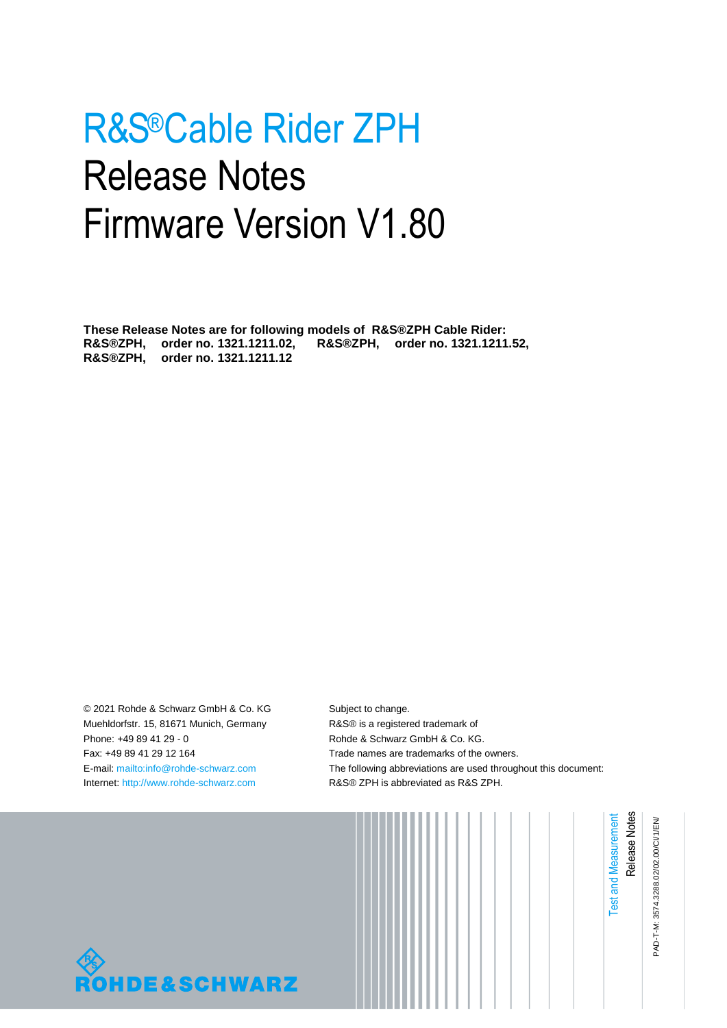# R&S®Cable Rider ZPH Release Notes Firmware Version V1.80

**These Release Notes are for following models of R&S®ZPH Cable Rider: R&S®ZPH, order no. 1321.1211.02, R&S®ZPH, order no. 1321.1211.52, R&S®ZPH, order no. 1321.1211.12**

© 2021 Rohde & Schwarz GmbH & Co. KG Muehldorfstr. 15, 81671 Munich, Germany Phone: +49 89 41 29 - 0 Fax: +49 89 41 29 12 164 E-mail[: mailto:info@rohde-schwarz.com](mailto:info@rohde-schwarz.com) Internet: [http://www.rohde-schwarz.com](http://www.rohde-schwarz.com/)

Subject to change. R&S® is a registered trademark of Rohde & Schwarz GmbH & Co. KG. Trade names are trademarks of the owners. The following abbreviations are used throughout this document: R&S® ZPH is abbreviated as R&S ZPH.



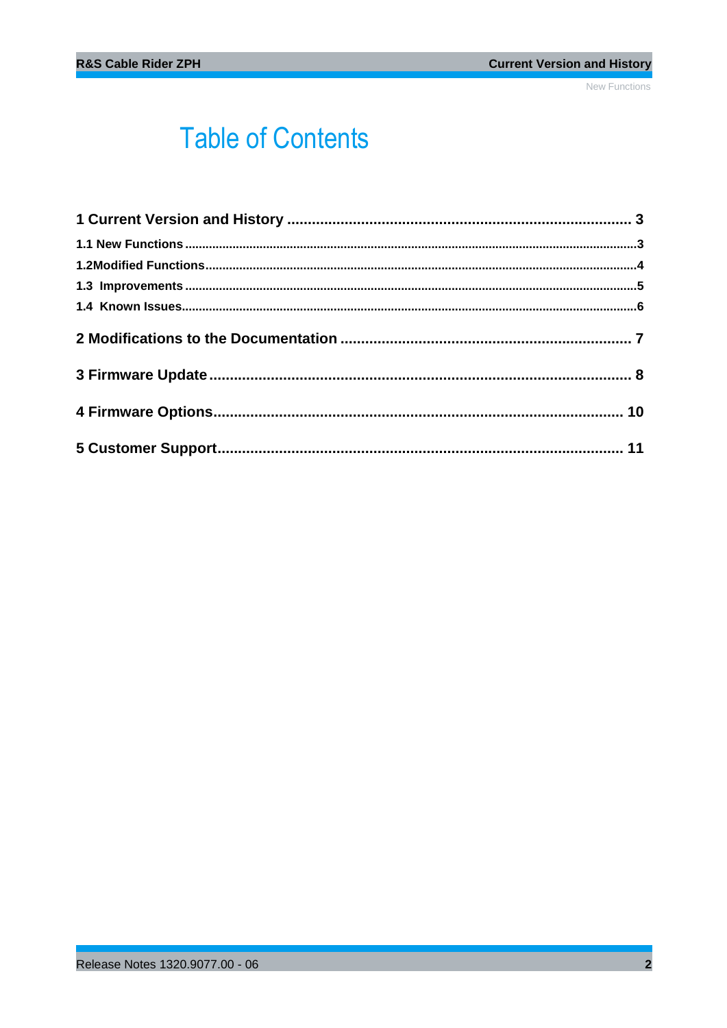## **Table of Contents**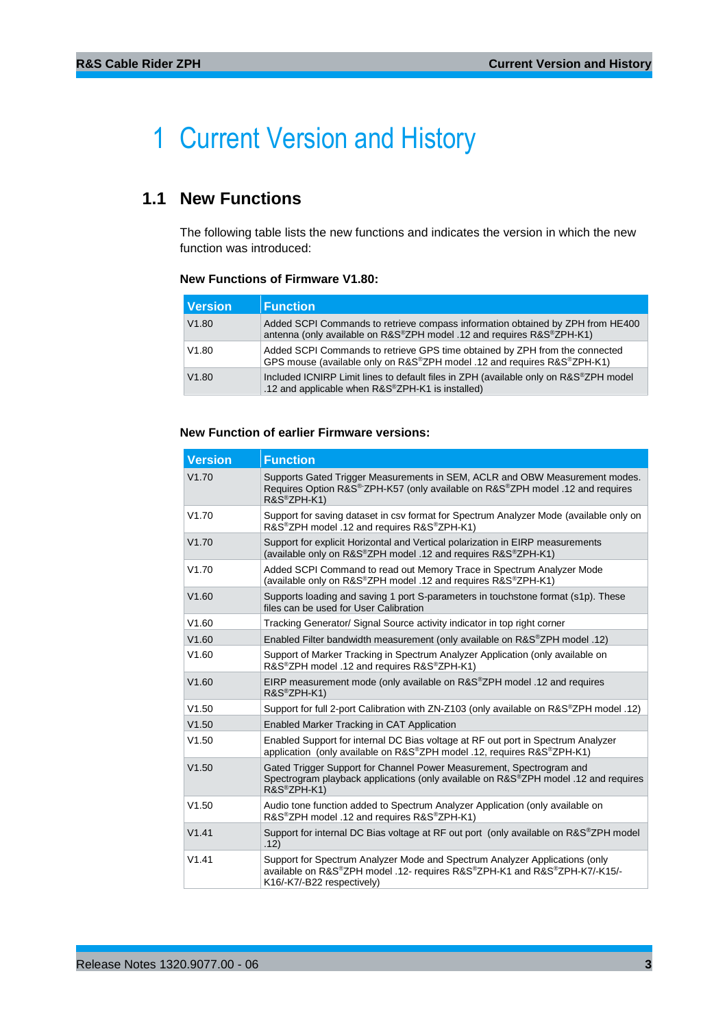## <span id="page-2-0"></span>1 Current Version and History

## <span id="page-2-1"></span>**1.1 New Functions**

The following table lists the new functions and indicates the version in which the new function was introduced:

### **New Functions of Firmware V1.80:**

| <b>Version</b> | <b>Function</b>                                                                                                                                         |
|----------------|---------------------------------------------------------------------------------------------------------------------------------------------------------|
| V1.80          | Added SCPI Commands to retrieve compass information obtained by ZPH from HE400<br>antenna (only available on R&S®ZPH model .12 and requires R&S®ZPH-K1) |
| V1.80          | Added SCPI Commands to retrieve GPS time obtained by ZPH from the connected<br>GPS mouse (available only on R&S®ZPH model .12 and requires R&S®ZPH-K1)  |
| V1.80          | Included ICNIRP Limit lines to default files in ZPH (available only on R&S <sup>®</sup> ZPH model<br>.12 and applicable when R&S®ZPH-K1 is installed)   |

### **New Function of earlier Firmware versions:**

| <b>Version</b> | <b>Function</b>                                                                                                                                                                        |
|----------------|----------------------------------------------------------------------------------------------------------------------------------------------------------------------------------------|
| V1.70          | Supports Gated Trigger Measurements in SEM, ACLR and OBW Measurement modes.<br>Requires Option R&S®ZPH-K57 (only available on R&S®ZPH model .12 and requires<br>R&S®ZPH-K1)            |
| V1.70          | Support for saving dataset in csv format for Spectrum Analyzer Mode (available only on<br>R&S <sup>®</sup> ZPH model .12 and requires R&S <sup>®</sup> ZPH-K1)                         |
| V1.70          | Support for explicit Horizontal and Vertical polarization in EIRP measurements<br>(available only on R&S®ZPH model .12 and requires R&S®ZPH-K1)                                        |
| V1.70          | Added SCPI Command to read out Memory Trace in Spectrum Analyzer Mode<br>(available only on R&S®ZPH model .12 and requires R&S®ZPH-K1)                                                 |
| V1.60          | Supports loading and saving 1 port S-parameters in touchstone format (s1p). These<br>files can be used for User Calibration                                                            |
| V1.60          | Tracking Generator/ Signal Source activity indicator in top right corner                                                                                                               |
| V1.60          | Enabled Filter bandwidth measurement (only available on R&S®ZPH model .12)                                                                                                             |
| V1.60          | Support of Marker Tracking in Spectrum Analyzer Application (only available on<br>R&S <sup>®</sup> ZPH model .12 and requires R&S <sup>®</sup> ZPH-K1)                                 |
| V1.60          | EIRP measurement mode (only available on R&S®ZPH model .12 and requires<br>R&S®ZPH-K1)                                                                                                 |
| V1.50          | Support for full 2-port Calibration with ZN-Z103 (only available on R&S®ZPH model .12)                                                                                                 |
| V1.50          | Enabled Marker Tracking in CAT Application                                                                                                                                             |
| V1.50          | Enabled Support for internal DC Bias voltage at RF out port in Spectrum Analyzer<br>application (only available on R&S®ZPH model .12, requires R&S®ZPH-K1)                             |
| V1.50          | Gated Trigger Support for Channel Power Measurement, Spectrogram and<br>Spectrogram playback applications (only available on R&S®ZPH model .12 and requires<br>R&S®ZPH-K1)             |
| V1.50          | Audio tone function added to Spectrum Analyzer Application (only available on<br>R&S <sup>®</sup> ZPH model .12 and requires R&S <sup>®</sup> ZPH-K1)                                  |
| V1.41          | Support for internal DC Bias voltage at RF out port (only available on R&S®ZPH model<br>.12)                                                                                           |
| V1.41          | Support for Spectrum Analyzer Mode and Spectrum Analyzer Applications (only<br>available on R&S®ZPH model .12- requires R&S®ZPH-K1 and R&S®ZPH-K7/-K15/-<br>K16/-K7/-B22 respectively) |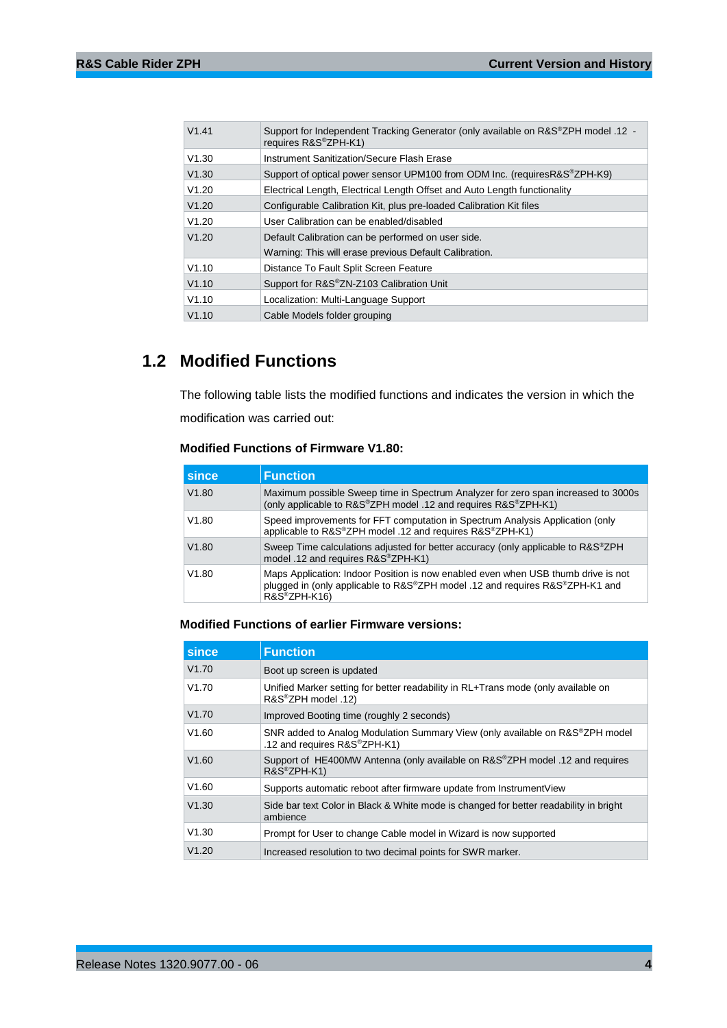| V1.41 | Support for Independent Tracking Generator (only available on R&S®ZPH model .12 -<br>requires R&S®ZPH-K1) |
|-------|-----------------------------------------------------------------------------------------------------------|
| V1.30 | Instrument Sanitization/Secure Flash Erase                                                                |
| V1.30 | Support of optical power sensor UPM100 from ODM Inc. (requires R&S <sup>®</sup> ZPH-K9)                   |
| V1.20 | Electrical Length, Electrical Length Offset and Auto Length functionality                                 |
| V1.20 | Configurable Calibration Kit, plus pre-loaded Calibration Kit files                                       |
| V1.20 | User Calibration can be enabled/disabled                                                                  |
| V1.20 | Default Calibration can be performed on user side.                                                        |
|       | Warning: This will erase previous Default Calibration.                                                    |
| V1.10 | Distance To Fault Split Screen Feature                                                                    |
| V1.10 | Support for R&S®ZN-Z103 Calibration Unit                                                                  |
| V1.10 | Localization: Multi-Language Support                                                                      |
| V1.10 | Cable Models folder grouping                                                                              |

## <span id="page-3-0"></span>**1.2 Modified Functions**

The following table lists the modified functions and indicates the version in which the modification was carried out:

### **Modified Functions of Firmware V1.80:**

| since | <b>Function</b>                                                                                                                                                                            |
|-------|--------------------------------------------------------------------------------------------------------------------------------------------------------------------------------------------|
| V1.80 | Maximum possible Sweep time in Spectrum Analyzer for zero span increased to 3000s<br>(only applicable to R&S®ZPH model .12 and requires R&S®ZPH-K1)                                        |
| V1.80 | Speed improvements for FFT computation in Spectrum Analysis Application (only<br>applicable to R&S®ZPH model .12 and requires R&S®ZPH-K1)                                                  |
| V1.80 | Sweep Time calculations adjusted for better accuracy (only applicable to R&S <sup>®</sup> ZPH<br>model .12 and requires R&S®ZPH-K1)                                                        |
| V1.80 | Maps Application: Indoor Position is now enabled even when USB thumb drive is not<br>plugged in (only applicable to R&S®ZPH model .12 and requires R&S®ZPH-K1 and<br>$R\&S^{\circ}ZPH-K16$ |

## **Modified Functions of earlier Firmware versions:**

| since | <b>Function</b>                                                                                                           |
|-------|---------------------------------------------------------------------------------------------------------------------------|
| V1.70 | Boot up screen is updated                                                                                                 |
| V1.70 | Unified Marker setting for better readability in RL+Trans mode (only available on<br>R&S®ZPH model .12)                   |
| V1.70 | Improved Booting time (roughly 2 seconds)                                                                                 |
| V1.60 | SNR added to Analog Modulation Summary View (only available on R&S <sup>®</sup> ZPH model<br>.12 and requires R&S®ZPH-K1) |
| V1.60 | Support of HE400MW Antenna (only available on R&S <sup>®</sup> ZPH model .12 and requires<br>$R\&S^{\otimes}ZPH-K1$       |
| V1.60 | Supports automatic reboot after firmware update from Instrument View                                                      |
| V1.30 | Side bar text Color in Black & White mode is changed for better readability in bright<br>ambience                         |
| V1.30 | Prompt for User to change Cable model in Wizard is now supported                                                          |
| V1.20 | Increased resolution to two decimal points for SWR marker.                                                                |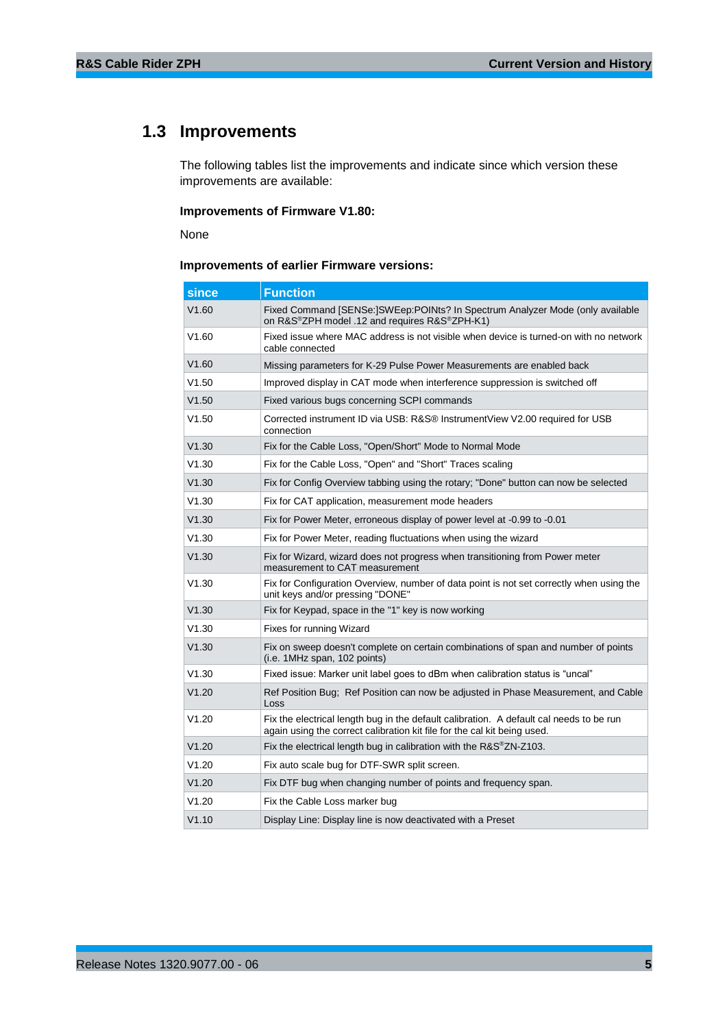## <span id="page-4-0"></span>**1.3 Improvements**

The following tables list the improvements and indicate since which version these improvements are available:

### **Improvements of Firmware V1.80:**

None

### **Improvements of earlier Firmware versions:**

| since | <b>Function</b>                                                                                                                                                     |
|-------|---------------------------------------------------------------------------------------------------------------------------------------------------------------------|
| V1.60 | Fixed Command [SENSe:]SWEep:POINts? In Spectrum Analyzer Mode (only available<br>on R&S®ZPH model .12 and requires R&S®ZPH-K1)                                      |
| V1.60 | Fixed issue where MAC address is not visible when device is turned-on with no network<br>cable connected                                                            |
| V1.60 | Missing parameters for K-29 Pulse Power Measurements are enabled back                                                                                               |
| V1.50 | Improved display in CAT mode when interference suppression is switched off                                                                                          |
| V1.50 | Fixed various bugs concerning SCPI commands                                                                                                                         |
| V1.50 | Corrected instrument ID via USB: R&S® InstrumentView V2.00 required for USB<br>connection                                                                           |
| V1.30 | Fix for the Cable Loss, "Open/Short" Mode to Normal Mode                                                                                                            |
| V1.30 | Fix for the Cable Loss, "Open" and "Short" Traces scaling                                                                                                           |
| V1.30 | Fix for Config Overview tabbing using the rotary; "Done" button can now be selected                                                                                 |
| V1.30 | Fix for CAT application, measurement mode headers                                                                                                                   |
| V1.30 | Fix for Power Meter, erroneous display of power level at -0.99 to -0.01                                                                                             |
| V1.30 | Fix for Power Meter, reading fluctuations when using the wizard                                                                                                     |
| V1.30 | Fix for Wizard, wizard does not progress when transitioning from Power meter<br>measurement to CAT measurement                                                      |
| V1.30 | Fix for Configuration Overview, number of data point is not set correctly when using the<br>unit keys and/or pressing "DONE"                                        |
| V1.30 | Fix for Keypad, space in the "1" key is now working                                                                                                                 |
| V1.30 | Fixes for running Wizard                                                                                                                                            |
| V1.30 | Fix on sweep doesn't complete on certain combinations of span and number of points<br>(i.e. 1MHz span, 102 points)                                                  |
| V1.30 | Fixed issue: Marker unit label goes to dBm when calibration status is "uncal"                                                                                       |
| V1.20 | Ref Position Bug: Ref Position can now be adjusted in Phase Measurement, and Cable<br>Loss                                                                          |
| V1.20 | Fix the electrical length bug in the default calibration. A default cal needs to be run<br>again using the correct calibration kit file for the cal kit being used. |
| V1.20 | Fix the electrical length bug in calibration with the R&S®ZN-Z103.                                                                                                  |
| V1.20 | Fix auto scale bug for DTF-SWR split screen.                                                                                                                        |
| V1.20 | Fix DTF bug when changing number of points and frequency span.                                                                                                      |
| V1.20 | Fix the Cable Loss marker bug                                                                                                                                       |
| V1.10 | Display Line: Display line is now deactivated with a Preset                                                                                                         |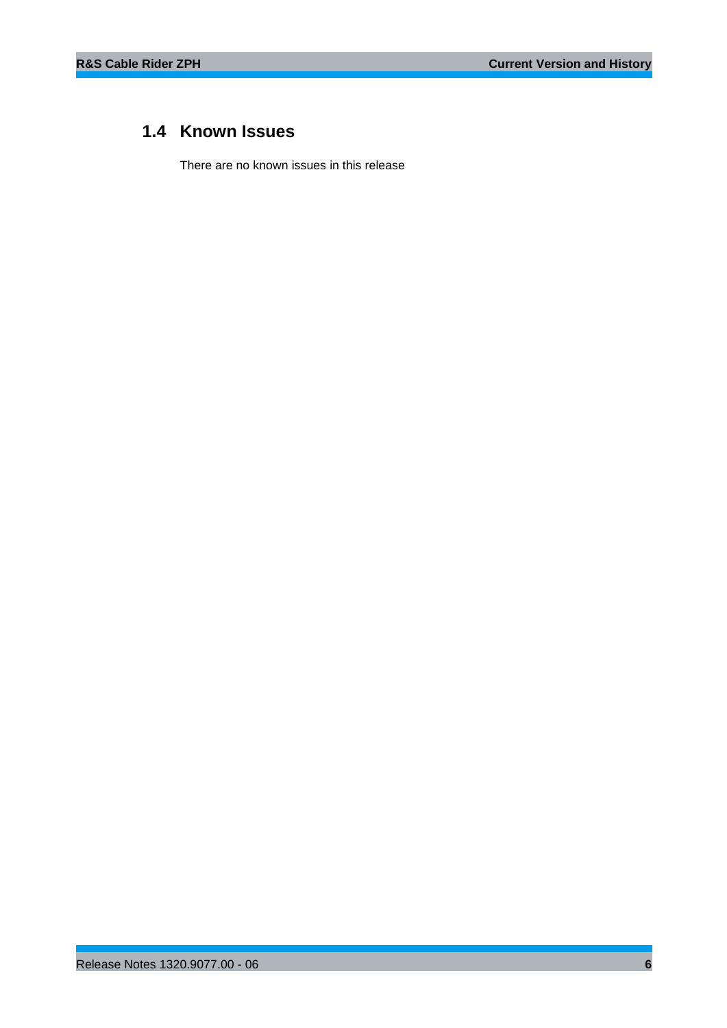## <span id="page-5-0"></span>**1.4 Known Issues**

There are no known issues in this release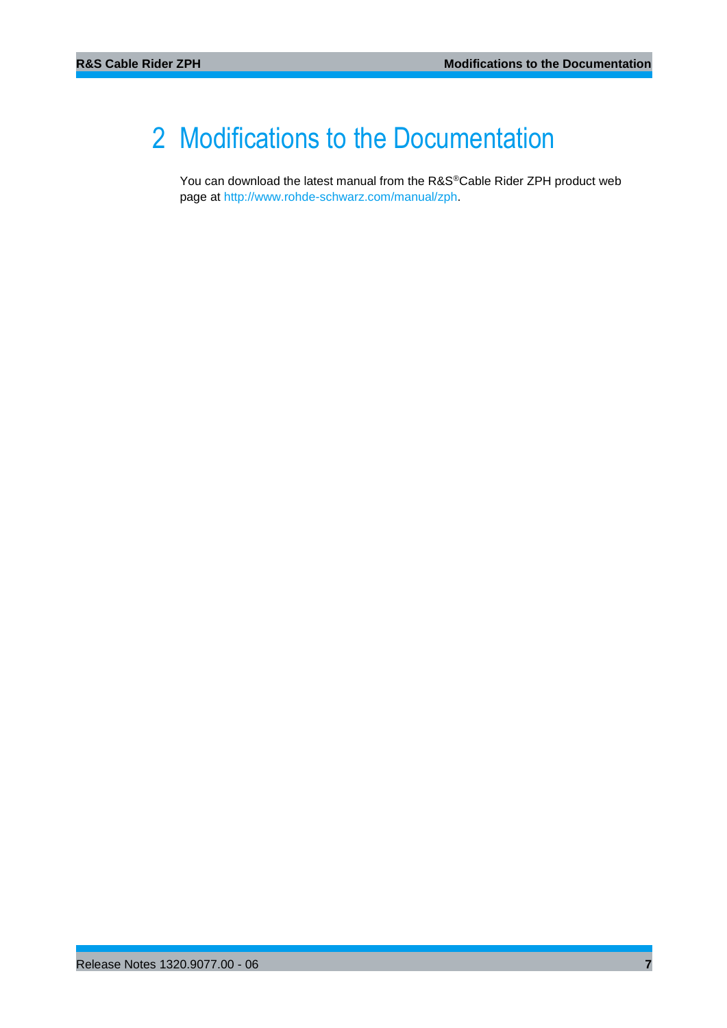## <span id="page-6-0"></span>2 Modifications to the Documentation

You can download the latest manual from the R&S®Cable Rider ZPH product web page at [http://www.rohde-schwarz.com/manual/zph.](http://www.rohde-schwarz.com/manual/zph)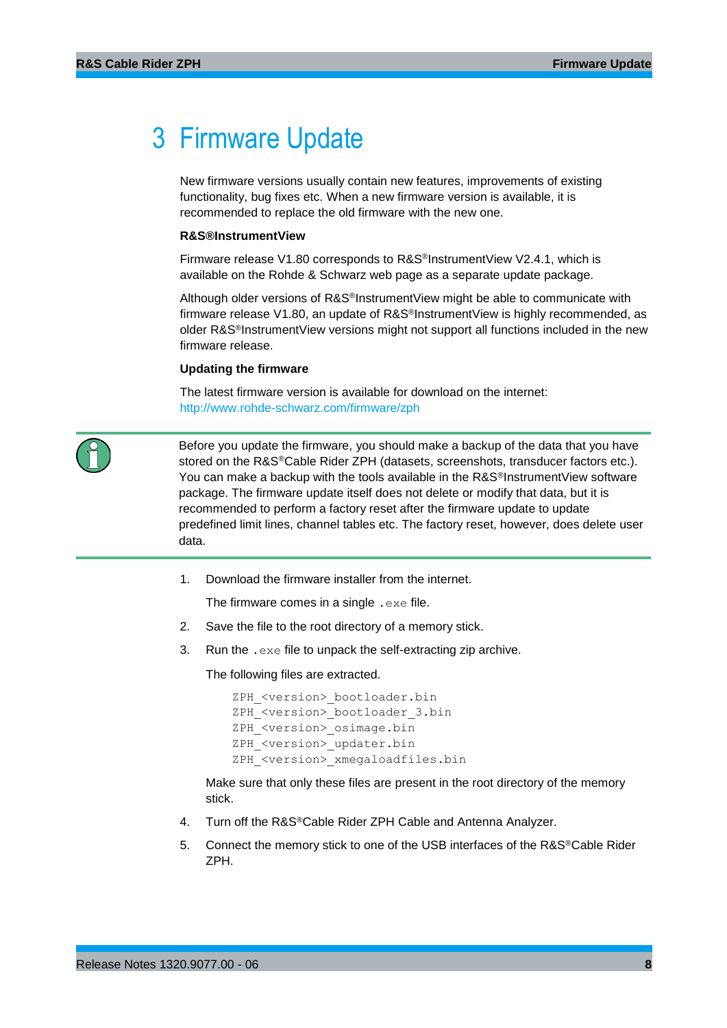## <span id="page-7-0"></span>3 Firmware Update

New firmware versions usually contain new features, improvements of existing functionality, bug fixes etc. When a new firmware version is available, it is recommended to replace the old firmware with the new one.

### **R&S®InstrumentView**

Firmware release V1.80 corresponds to R&S®InstrumentView V2.4.1, which is available on the Rohde & Schwarz web page as a separate update package.

Although older versions of R&S®InstrumentView might be able to communicate with firmware release V1.80, an update of R&S<sup>®</sup>InstrumentView is highly recommended, as older R&S<sup>®</sup>InstrumentView versions might not support all functions included in the new firmware release.

#### **Updating the firmware**

The latest firmware version is available for download on the internet: <http://www.rohde-schwarz.com/firmware/zph>



Before you update the firmware, you should make a backup of the data that you have stored on the R&S®Cable Rider ZPH (datasets, screenshots, transducer factors etc.). You can make a backup with the tools available in the R&S<sup>®</sup>InstrumentView software package. The firmware update itself does not delete or modify that data, but it is recommended to perform a factory reset after the firmware update to update predefined limit lines, channel tables etc. The factory reset, however, does delete user data.

1. Download the firmware installer from the internet.

The firmware comes in a single .exe file.

- 2. Save the file to the root directory of a memory stick.
- 3. Run the .exe file to unpack the self-extracting zip archive.

The following files are extracted.

```
ZPH <version> bootloader.bin
ZPH <version> bootloader 3.bin
ZPH <version> osimage.bin
ZPH <version> updater.bin
ZPH <version> xmegaloadfiles.bin
```
Make sure that only these files are present in the root directory of the memory stick.

- 4. Turn off the R&S®Cable Rider ZPH Cable and Antenna Analyzer.
- 5. Connect the memory stick to one of the USB interfaces of the R&S®Cable Rider ZPH.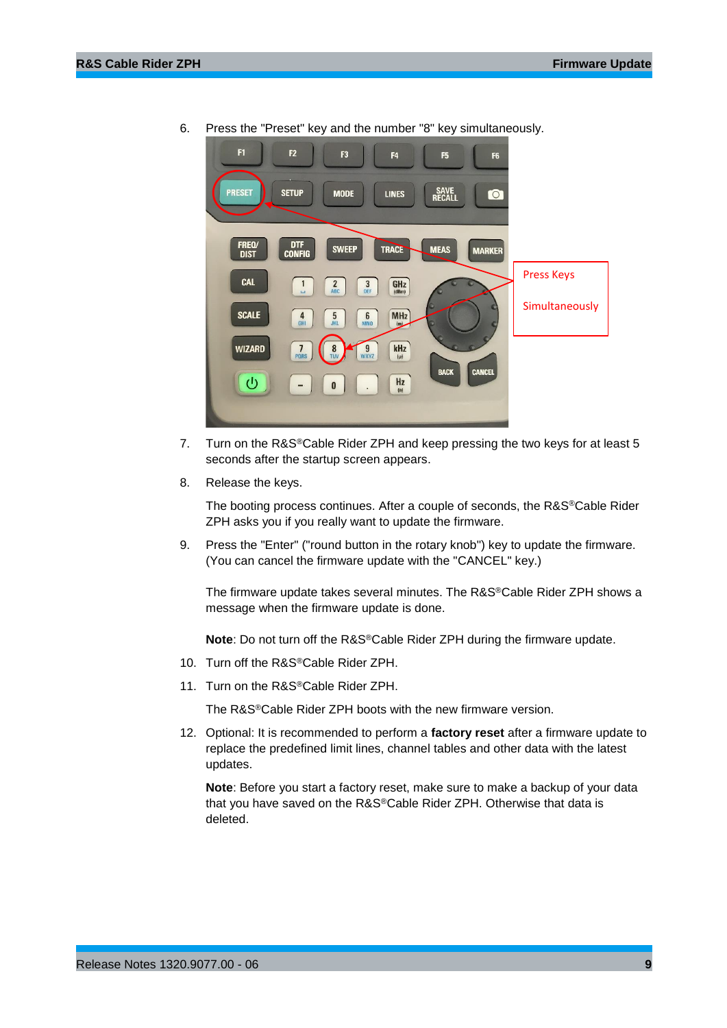

6. Press the "Preset" key and the number "8" key simultaneously.

- 7. Turn on the R&S<sup>®</sup>Cable Rider ZPH and keep pressing the two keys for at least 5 seconds after the startup screen appears.
- 8. Release the keys.

The booting process continues. After a couple of seconds, the R&S®Cable Rider ZPH asks you if you really want to update the firmware.

9. Press the "Enter" ("round button in the rotary knob") key to update the firmware. (You can cancel the firmware update with the "CANCEL" key.)

The firmware update takes several minutes. The R&S®Cable Rider ZPH shows a message when the firmware update is done.

**Note**: Do not turn off the R&S®Cable Rider ZPH during the firmware update.

- 10. Turn off the R&S®Cable Rider ZPH.
- 11. Turn on the R&S®Cable Rider ZPH.

The R&S®Cable Rider ZPH boots with the new firmware version.

12. Optional: It is recommended to perform a **factory reset** after a firmware update to replace the predefined limit lines, channel tables and other data with the latest updates.

**Note**: Before you start a factory reset, make sure to make a backup of your data that you have saved on the R&S®Cable Rider ZPH. Otherwise that data is deleted.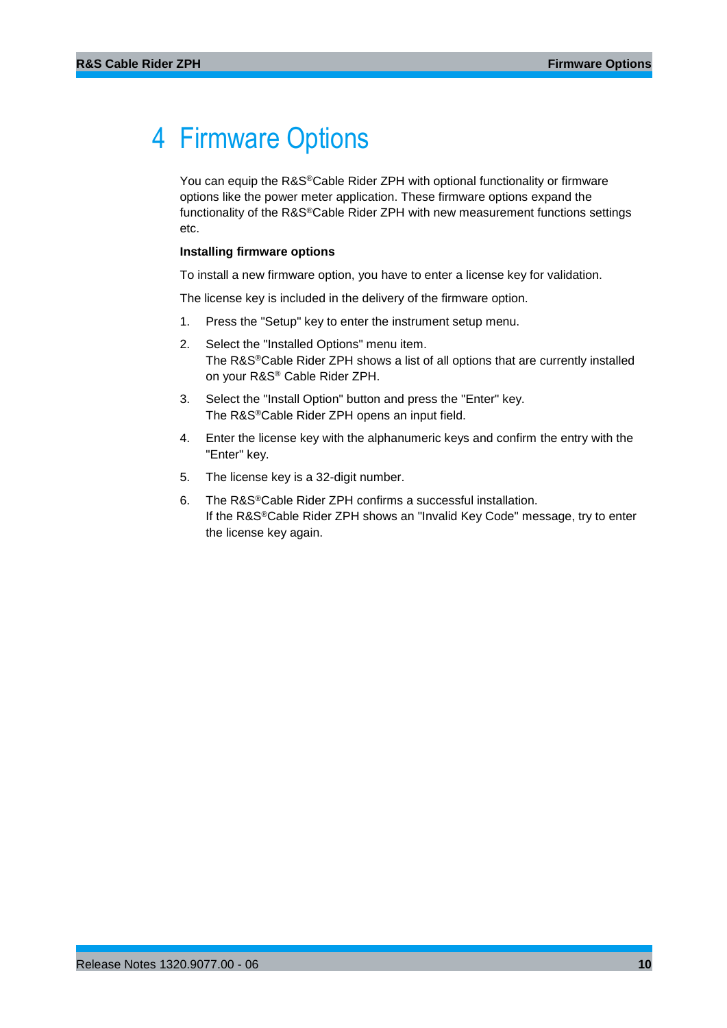## <span id="page-9-0"></span>4 Firmware Options

You can equip the R&S®Cable Rider ZPH with optional functionality or firmware options like the power meter application. These firmware options expand the functionality of the R&S®Cable Rider ZPH with new measurement functions settings etc.

#### **Installing firmware options**

To install a new firmware option, you have to enter a license key for validation.

The license key is included in the delivery of the firmware option.

- 1. Press the "Setup" key to enter the instrument setup menu.
- 2. Select the "Installed Options" menu item. The R&S®Cable Rider ZPH shows a list of all options that are currently installed on your R&S® Cable Rider ZPH.
- 3. Select the "Install Option" button and press the "Enter" key. The R&S®Cable Rider ZPH opens an input field.
- 4. Enter the license key with the alphanumeric keys and confirm the entry with the "Enter" key.
- 5. The license key is a 32-digit number.
- 6. The R&S®Cable Rider ZPH confirms a successful installation. If the R&S®Cable Rider ZPH shows an "Invalid Key Code" message, try to enter the license key again.